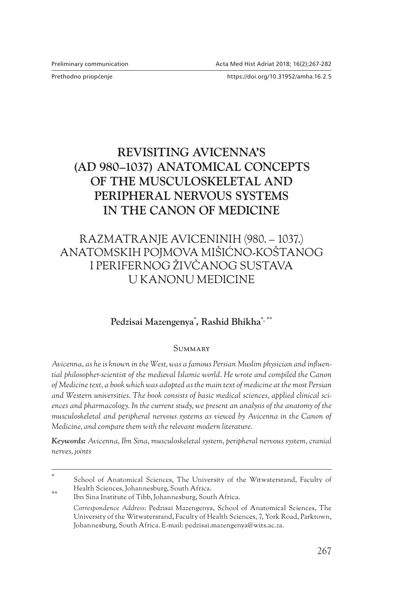Prethodno priop}enje https://doi.org/10.31952/amha.16.2.5

# **REVISITING AVICENNA'S (AD 980–1037) ANATOMICAL CONCEPTS OF THE MUSCULOSKELETAL AND PERIPHERAL NERVOUS SYSTEMS IN THE CANON OF MEDICINE**

# RAZMATRANJE AVICENINIH (980. – 1037.) ANATOMSKIH POJMOVA MIŠIĆNO‑KOŠTANOG I PERIFERNOG ŽIVČANOG SUSTAVA U KANONU MEDICINE

# **Pedzisai Mazengenya**\* **, Rashid Bhikha**\***,** \*\*

#### **SUMMARY**

*Avicenna, as he is known in the West, was a famous Persian Muslim physician and influential philosopher-scientist of the medieval Islamic world. He wrote and compiled the Canon of Medicine text, a book which was adopted as the main text of medicine at the most Persian and Western universities. The book consists of basic medical sciences, applied clinical sciences and pharmacology. In the current study, we present an analysis of the anatomy of the musculoskeletal and peripheral nervous systems as viewed by Avicenna in the Canon of Medicine, and compare them with the relevant modern literature.*

*Keywords: Avicenna, Ibn Sina, musculoskeletal system, peripheral nervous system, cranial nerves, joints*

School of Anatomical Sciences, The University of the Witwatersrand, Faculty of Health Sciences, Johannesburg, South Africa.

<sup>\*\*</sup> Ibn Sina Institute of Tibb, Johannesburg, South Africa.

*Correspondence Address*: Pedzisai Mazengenya, School of Anatomical Sciences, The University of the Witwatersrand, Faculty of Health Sciences, 7, York Road, Parktown, Johannesburg, South Africa. E‑mail: pedzisai.mazengenya@wits.ac.za.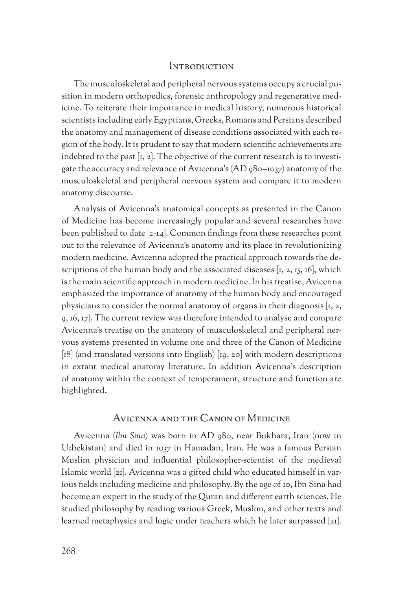## Introduction

The musculoskeletal and peripheral nervous systems occupy a crucial position in modern orthopedics, forensic anthropology and regenerative medicine. To reiterate their importance in medical history, numerous historical scientists including early Egyptians, Greeks, Romans and Persians described the anatomy and management of disease conditions associated with each re‑ gion of the body. It is prudent to say that modern scientific achievements are indebted to the past  $[t, 2]$ . The objective of the current research is to investigate the accuracy and relevance of Avicenna's (AD 980–1037) anatomy of the musculoskeletal and peripheral nervous system and compare it to modern anatomy discourse.

Analysis of Avicenna's anatomical concepts as presented in the Canon of Medicine has become increasingly popular and several researches have been published to date [2‑14]. Common findings from these researches point out to the relevance of Avicenna's anatomy and its place in revolutionizing modern medicine. Avicenna adopted the practical approach towards the de‑ scriptions of the human body and the associated diseases  $[x, 2, 15, 16]$ , which is the main scientific approach in modern medicine. In his treatise, Avicenna emphasized the importance of anatomy of the human body and encouraged physicians to consider the normal anatomy of organs in their diagnosis  $[t, z]$ , 9, 16, 17]. The current review was therefore intended to analyse and compare Avicenna's treatise on the anatomy of musculoskeletal and peripheral ner‑ vous systems presented in volume one and three of the Canon of Medicine [18] (and translated versions into English) [19, 20] with modern descriptions in extant medical anatomy literature. In addition Avicenna's description of anatomy within the context of temperament, structure and function are highlighted.

## Avicenna and the Canon of Medicine

Avicenna (*Ibn Sina*) was born in AD 980, near Bukhara, Iran (now in Uzbekistan) and died in 1037 in Hamadan, Iran. He was a famous Persian Muslim physician and influential philosopher-scientist of the medieval Islamic world [21]. Avicenna was a gifted child who educated himself in var‑ ious fields including medicine and philosophy. By the age of 10, Ibn Sina had become an expert in the study of the Quran and different earth sciences. He studied philosophy by reading various Greek, Muslim, and other texts and learned metaphysics and logic under teachers which he later surpassed [21].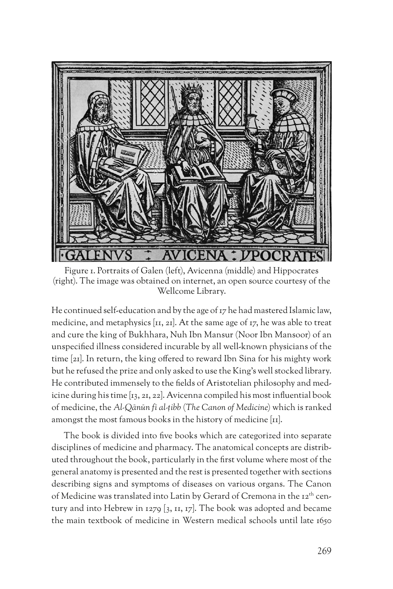

Figure 1. Portraits of Galen (left), Avicenna (middle) and Hippocrates (right). The image was obtained on internet, an open source courtesy of the Wellcome Library.

He continued self-education and by the age of 17 he had mastered Islamic law, medicine, and metaphysics  $[x, 2x]$ . At the same age of  $x, x$  he was able to treat and cure the king of Bukhhara, Nuh Ibn Mansur (Noor Ibn Mansoor) of an unspecified illness considered incurable by all well-known physicians of the time [21]. In return, the king offered to reward Ibn Sina for his mighty work but he refused the prize and only asked to use the King's well stocked library. He contributed immensely to the fields of Aristotelian philosophy and medicine during his time [13, 21, 22]. Avicenna compiled his most influential book of medicine, the *Al-Qānūn fī al-ṭibb* (*The Canon of Medicine*) which is ranked amongst the most famous books in the history of medicine [11].

The book is divided into five books which are categorized into separate disciplines of medicine and pharmacy. The anatomical concepts are distributed throughout the book, particularly in the first volume where most of the general anatomy is presented and the rest is presented together with sections describing signs and symptoms of diseases on various organs. The Canon of Medicine was translated into Latin by Gerard of Cremona in the 12<sup>th</sup> century and into Hebrew in 1279 [3, 11, 17]. The book was adopted and became the main textbook of medicine in Western medical schools until late 1650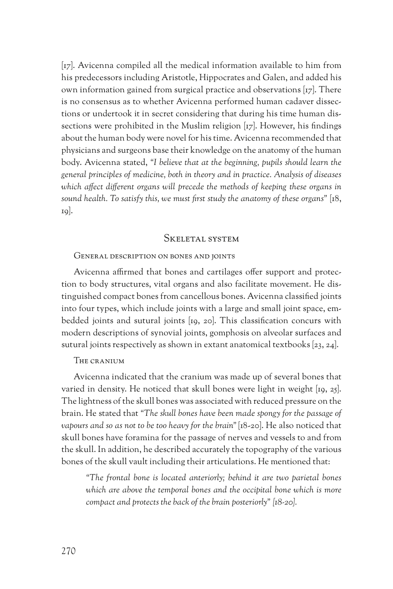[17]. Avicenna compiled all the medical information available to him from his predecessors including Aristotle, Hippocrates and Galen, and added his own information gained from surgical practice and observations  $[rz]$ . There is no consensus as to whether Avicenna performed human cadaver dissec‑ tions or undertook it in secret considering that during his time human dis‑ sections were prohibited in the Muslim religion [17]. However, his findings about the human body were novel for his time. Avicenna recommended that physicians and surgeons base their knowledge on the anatomy of the human body. Avicenna stated, *"I believe that at the beginning, pupils should learn the general principles of medicine, both in theory and in practice. Analysis of diseases which affect different organs will precede the methods of keeping these organs in sound health. To satisfy this, we must first study the anatomy of these organs"* [18, 19].

## Skeletal system

#### General description on bones and joints

Avicenna affirmed that bones and cartilages offer support and protection to body structures, vital organs and also facilitate movement. He distinguished compact bones from cancellous bones. Avicenna classified joints into four types, which include joints with a large and small joint space, embedded joints and sutural joints [19, 20]. This classification concurs with modern descriptions of synovial joints, gomphosis on alveolar surfaces and sutural joints respectively as shown in extant anatomical textbooks [23, 24].

#### The cranium

Avicenna indicated that the cranium was made up of several bones that varied in density. He noticed that skull bones were light in weight [19, 25]. The lightness of the skull bones was associated with reduced pressure on the brain. He stated that *"The skull bones have been made spongy for the passage of vapours and so as not to be too heavy for the brain"* [18‑20]. He also noticed that skull bones have foramina for the passage of nerves and vessels to and from the skull. In addition, he described accurately the topography of the various bones of the skull vault including their articulations. He mentioned that:

*"The frontal bone is located anteriorly; behind it are two parietal bones*  which are above the temporal bones and the occipital bone which is more *compact and protects the back of the brain posteriorly" [18-20].*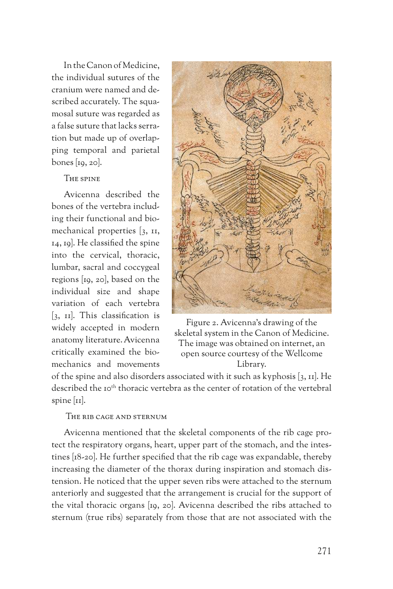In the Canon of Medicine, the individual sutures of the cranium were named and de‑ scribed accurately. The squamosal suture was regarded as a false suture that lacks serra‑ tion but made up of overlapping temporal and parietal bones [19, 20].

## The spine

Avicenna described the bones of the vertebra includ‑ ing their functional and biomechanical properties [3, 11, 14, 19]. He classified the spine into the cervical, thoracic, lumbar, sacral and coccygeal regions [19, 20], based on the individual size and shape variation of each vertebra [3, 11]. This classification is widely accepted in modern anatomy literature. Avicenna critically examined the bio‑ mechanics and movements



Figure 2. Avicenna's drawing of the skeletal system in the Canon of Medicine. The image was obtained on internet, an open source courtesy of the Wellcome Library.

of the spine and also disorders associated with it such as kyphosis [3, 11]. He described the 10<sup>th</sup> thoracic vertebra as the center of rotation of the vertebral spine  $\left[\text{II}\right]$ .

#### The rib cage and sternum

Avicenna mentioned that the skeletal components of the rib cage protect the respiratory organs, heart, upper part of the stomach, and the intestines [18‑20]. He further specified that the rib cage was expandable, thereby increasing the diameter of the thorax during inspiration and stomach dis‑ tension. He noticed that the upper seven ribs were attached to the sternum anteriorly and suggested that the arrangement is crucial for the support of the vital thoracic organs [19, 20]. Avicenna described the ribs attached to sternum (true ribs) separately from those that are not associated with the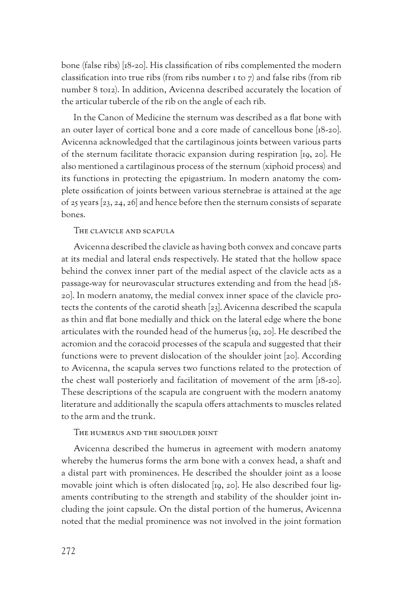bone (false ribs) [18‑20]. His classification of ribs complemented the modern classification into true ribs (from ribs number 1 to 7) and false ribs (from rib number 8 to12). In addition, Avicenna described accurately the location of the articular tubercle of the rib on the angle of each rib.

In the Canon of Medicine the sternum was described as a flat bone with an outer layer of cortical bone and a core made of cancellous bone [18‑20]. Avicenna acknowledged that the cartilaginous joints between various parts of the sternum facilitate thoracic expansion during respiration [19, 20]. He also mentioned a cartilaginous process of the sternum (xiphoid process) and its functions in protecting the epigastrium. In modern anatomy the complete ossification of joints between various sternebrae is attained at the age of 25 years [23, 24, 26] and hence before then the sternum consists of separate bones.

## The clavicle and scapula

Avicenna described the clavicle as having both convex and concave parts at its medial and lateral ends respectively. He stated that the hollow space behind the convex inner part of the medial aspect of the clavicle acts as a passage‑way for neurovascular structures extending and from the head [18‑ 20]. In modern anatomy, the medial convex inner space of the clavicle protects the contents of the carotid sheath [23]. Avicenna described the scapula as thin and flat bone medially and thick on the lateral edge where the bone articulates with the rounded head of the humerus [19, 20]. He described the acromion and the coracoid processes of the scapula and suggested that their functions were to prevent dislocation of the shoulder joint [20]. According to Avicenna, the scapula serves two functions related to the protection of the chest wall posteriorly and facilitation of movement of the arm [18‑20]. These descriptions of the scapula are congruent with the modern anatomy literature and additionally the scapula offers attachments to muscles related to the arm and the trunk.

#### The humerus and the shoulder joint

Avicenna described the humerus in agreement with modern anatomy whereby the humerus forms the arm bone with a convex head, a shaft and a distal part with prominences. He described the shoulder joint as a loose movable joint which is often dislocated [19, 20]. He also described four ligaments contributing to the strength and stability of the shoulder joint in‑ cluding the joint capsule. On the distal portion of the humerus, Avicenna noted that the medial prominence was not involved in the joint formation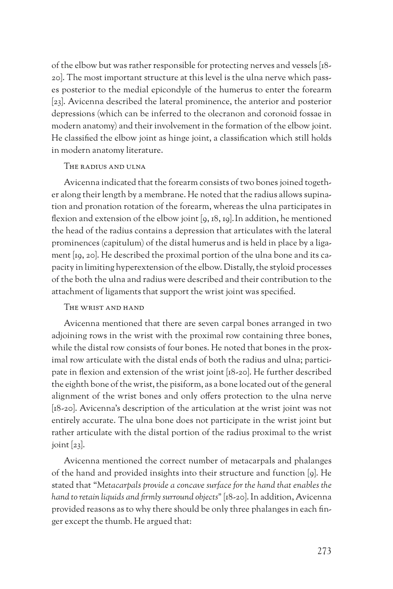of the elbow but was rather responsible for protecting nerves and vessels [18‑ 20]. The most important structure at this level is the ulna nerve which passes posterior to the medial epicondyle of the humerus to enter the forearm [23]. Avicenna described the lateral prominence, the anterior and posterior depressions (which can be inferred to the olecranon and coronoid fossae in modern anatomy) and their involvement in the formation of the elbow joint. He classified the elbow joint as hinge joint, a classification which still holds in modern anatomy literature.

## The radius and ulna

Avicenna indicated that the forearm consists of two bones joined together along their length by a membrane. He noted that the radius allows supination and pronation rotation of the forearm, whereas the ulna participates in flexion and extension of the elbow joint [9, 18, 19].In addition, he mentioned the head of the radius contains a depression that articulates with the lateral prominences (capitulum) of the distal humerus and is held in place by a ligament [19, 20]. He described the proximal portion of the ulna bone and its capacity in limiting hyperextension of the elbow. Distally, the styloid processes of the both the ulna and radius were described and their contribution to the attachment of ligaments that support the wrist joint was specified.

#### The wrist and hand

Avicenna mentioned that there are seven carpal bones arranged in two adjoining rows in the wrist with the proximal row containing three bones, while the distal row consists of four bones. He noted that bones in the proximal row articulate with the distal ends of both the radius and ulna; participate in flexion and extension of the wrist joint [18‑20]. He further described the eighth bone of the wrist, the pisiform, as a bone located out of the general alignment of the wrist bones and only offers protection to the ulna nerve [18-20]. Avicenna's description of the articulation at the wrist joint was not entirely accurate. The ulna bone does not participate in the wrist joint but rather articulate with the distal portion of the radius proximal to the wrist joint  $[23]$ .

Avicenna mentioned the correct number of metacarpals and phalanges of the hand and provided insights into their structure and function [9]. He stated that "*Metacarpals provide a concave surface for the hand that enables the hand to retain liquids and firmly surround objects"* [18‑20]. In addition, Avicenna provided reasons as to why there should be only three phalanges in each finger except the thumb. He argued that: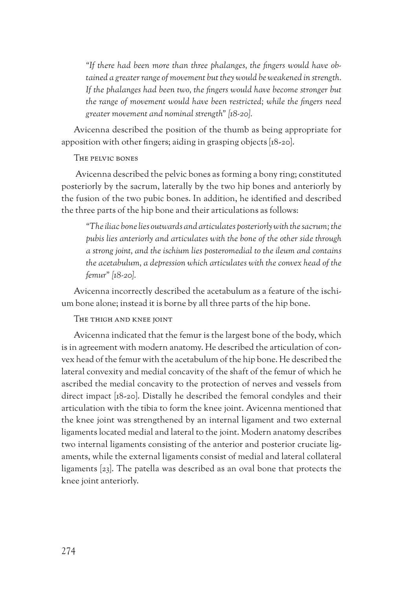*"If there had been more than three phalanges, the fingers would have obtained a greater range of movement but they would be weakened in strength. If the phalanges had been two, the fingers would have become stronger but the range of movement would have been restricted; while the fingers need greater movement and nominal strength" [18-20].* 

Avicenna described the position of the thumb as being appropriate for apposition with other fingers; aiding in grasping objects [18‑20].

The pelvic bones

 Avicenna described the pelvic bones as forming a bony ring; constituted posteriorly by the sacrum, laterally by the two hip bones and anteriorly by the fusion of the two pubic bones. In addition, he identified and described the three parts of the hip bone and their articulations as follows:

*"The iliac bone lies outwards and articulates posteriorly with the sacrum; the pubis lies anteriorly and articulates with the bone of the other side through a strong joint, and the ischium lies posteromedial to the ileum and contains the acetabulum, a depression which articulates with the convex head of the femur" [18-20].* 

Avicenna incorrectly described the acetabulum as a feature of the ischium bone alone; instead it is borne by all three parts of the hip bone.

The thigh and knee joint

Avicenna indicated that the femur is the largest bone of the body, which is in agreement with modern anatomy. He described the articulation of convex head of the femur with the acetabulum of the hip bone. He described the lateral convexity and medial concavity of the shaft of the femur of which he ascribed the medial concavity to the protection of nerves and vessels from direct impact [18‑20]. Distally he described the femoral condyles and their articulation with the tibia to form the knee joint. Avicenna mentioned that the knee joint was strengthened by an internal ligament and two external ligaments located medial and lateral to the joint. Modern anatomy describes two internal ligaments consisting of the anterior and posterior cruciate ligaments, while the external ligaments consist of medial and lateral collateral ligaments [23]. The patella was described as an oval bone that protects the knee joint anteriorly.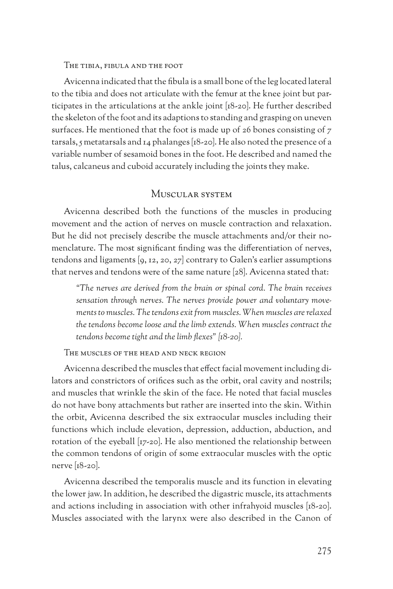#### The tibia, fibula and the foot

Avicenna indicated that the fibula is a small bone of the leg located lateral to the tibia and does not articulate with the femur at the knee joint but participates in the articulations at the ankle joint [18‑20]. He further described the skeleton of the foot and its adaptions to standing and grasping on uneven surfaces. He mentioned that the foot is made up of 26 bones consisting of 7 tarsals, 5 metatarsals and  $I_4$  phalanges [18-20]. He also noted the presence of a variable number of sesamoid bones in the foot. He described and named the talus, calcaneus and cuboid accurately including the joints they make.

# Muscular system

Avicenna described both the functions of the muscles in producing movement and the action of nerves on muscle contraction and relaxation. But he did not precisely describe the muscle attachments and/or their nomenclature. The most significant finding was the differentiation of nerves, tendons and ligaments  $[9, 12, 20, 27]$  contrary to Galen's earlier assumptions that nerves and tendons were of the same nature [28]. Avicenna stated that:

*"The nerves are derived from the brain or spinal cord. The brain receives sensation through nerves. The nerves provide power and voluntary movements to muscles. The tendons exit from muscles. When muscles are relaxed the tendons become loose and the limb extends. When muscles contract the tendons become tight and the limb flexes" [18-20].* 

The muscles of the head and neck region

Avicenna described the muscles that effect facial movement including dilators and constrictors of orifices such as the orbit, oral cavity and nostrils; and muscles that wrinkle the skin of the face. He noted that facial muscles do not have bony attachments but rather are inserted into the skin. Within the orbit, Avicenna described the six extraocular muscles including their functions which include elevation, depression, adduction, abduction, and rotation of the eyeball [17‑20]. He also mentioned the relationship between the common tendons of origin of some extraocular muscles with the optic nerve [18‑20].

Avicenna described the temporalis muscle and its function in elevating the lower jaw. In addition, he described the digastric muscle, its attachments and actions including in association with other infrahyoid muscles [18‑20]. Muscles associated with the larynx were also described in the Canon of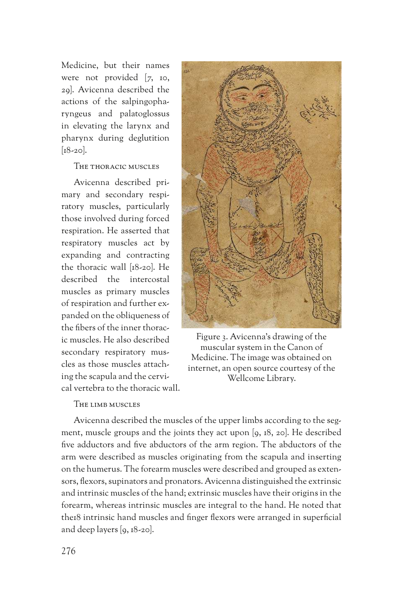Medicine, but their names were not provided [7, 10, 29]. Avicenna described the actions of the salpingopharyngeus and palatoglossus in elevating the larynx and pharynx during deglutition  $\left[18 - 20\right]$ .

## The thoracic muscles

Avicenna described pri‑ mary and secondary respi‑ ratory muscles, particularly those involved during forced respiration. He asserted that respiratory muscles act by expanding and contracting the thoracic wall [18‑20]. He described the intercostal muscles as primary muscles of respiration and further ex‑ panded on the obliqueness of the fibers of the inner thorac‑ ic muscles. He also described secondary respiratory muscles as those muscles attach‑ ing the scapula and the cervical vertebra to the thoracic wall.



Figure 3. Avicenna's drawing of the muscular system in the Canon of Medicine. The image was obtained on internet, an open source courtesy of the Wellcome Library.

#### The limb muscles

Avicenna described the muscles of the upper limbs according to the segment, muscle groups and the joints they act upon  $(q, 18, 20)$ . He described five adductors and five abductors of the arm region. The abductors of the arm were described as muscles originating from the scapula and inserting on the humerus. The forearm muscles were described and grouped as extensors, flexors, supinators and pronators. Avicenna distinguished the extrinsic and intrinsic muscles of the hand; extrinsic muscles have their origins in the forearm, whereas intrinsic muscles are integral to the hand. He noted that the18 intrinsic hand muscles and finger flexors were arranged in superficial and deep layers  $\lbrack 9, 18-20 \rbrack$ .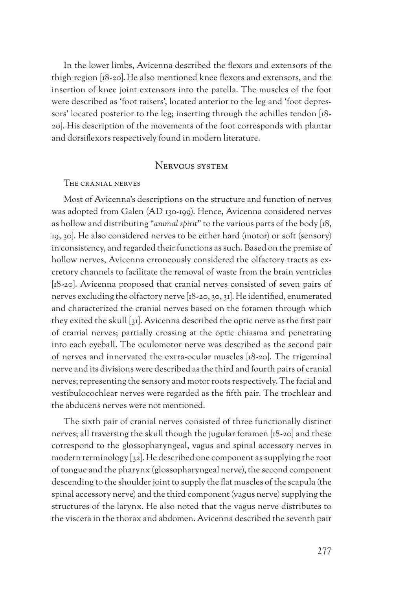In the lower limbs, Avicenna described the flexors and extensors of the thigh region [18‑20].He also mentioned knee flexors and extensors, and the insertion of knee joint extensors into the patella. The muscles of the foot were described as 'foot raisers', located anterior to the leg and 'foot depressors' located posterior to the leg; inserting through the achilles tendon [18-20]. His description of the movements of the foot corresponds with plantar and dorsiflexors respectively found in modern literature.

## NERVOUS SYSTEM

#### The cranial nerves

Most of Avicenna's descriptions on the structure and function of nerves was adopted from Galen (AD 130‑199). Hence, Avicenna considered nerves as hollow and distributing "*animal spirit*" to the various parts of the body [18, 19, 30]. He also considered nerves to be either hard (motor) or soft (sensory) in consistency, and regarded their functions as such. Based on the premise of hollow nerves, Avicenna erroneously considered the olfactory tracts as excretory channels to facilitate the removal of waste from the brain ventricles [18-20]. Avicenna proposed that cranial nerves consisted of seven pairs of nerves excluding the olfactory nerve [18‑20, 30, 31]. He identified, enumerated and characterized the cranial nerves based on the foramen through which they exited the skull [31]. Avicenna described the optic nerve as the first pair of cranial nerves; partially crossing at the optic chiasma and penetrating into each eyeball. The oculomotor nerve was described as the second pair of nerves and innervated the extra‑ocular muscles [18‑20]. The trigeminal nerve and its divisions were described as the third and fourth pairs of cranial nerves; representing the sensory and motor roots respectively. The facial and vestibulocochlear nerves were regarded as the fifth pair. The trochlear and the abducens nerves were not mentioned.

The sixth pair of cranial nerves consisted of three functionally distinct nerves; all traversing the skull though the jugular foramen [18‑20] and these correspond to the glossopharyngeal, vagus and spinal accessory nerves in modern terminology [32]. He described one component as supplying the root of tongue and the pharynx (glossopharyngeal nerve), the second component descending to the shoulder joint to supply the flat muscles of the scapula (the spinal accessory nerve) and the third component (vagus nerve) supplying the structures of the larynx. He also noted that the vagus nerve distributes to the viscera in the thorax and abdomen. Avicenna described the seventh pair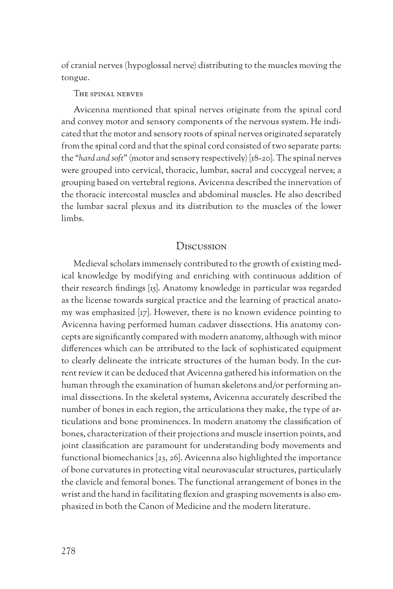of cranial nerves (hypoglossal nerve) distributing to the muscles moving the tongue.

#### The spinal nerves

Avicenna mentioned that spinal nerves originate from the spinal cord and convey motor and sensory components of the nervous system. He indicated that the motor and sensory roots of spinal nerves originated separately from the spinal cord and that the spinal cord consisted of two separate parts: the "*hard and soft*" (motor and sensory respectively) [18‑20]. The spinal nerves were grouped into cervical, thoracic, lumbar, sacral and coccygeal nerves; a grouping based on vertebral regions. Avicenna described the innervation of the thoracic intercostal muscles and abdominal muscles. He also described the lumbar sacral plexus and its distribution to the muscles of the lower limbs.

## **Discussion**

Medieval scholars immensely contributed to the growth of existing medical knowledge by modifying and enriching with continuous addition of their research findings [15]. Anatomy knowledge in particular was regarded as the license towards surgical practice and the learning of practical anatomy was emphasized [17]. However, there is no known evidence pointing to Avicenna having performed human cadaver dissections. His anatomy concepts are significantly compared with modern anatomy, although with minor differences which can be attributed to the lack of sophisticated equipment to clearly delineate the intricate structures of the human body. In the current review it can be deduced that Avicenna gathered his information on the human through the examination of human skeletons and/or performing animal dissections. In the skeletal systems, Avicenna accurately described the number of bones in each region, the articulations they make, the type of articulations and bone prominences. In modern anatomy the classification of bones, characterization of their projections and muscle insertion points, and joint classification are paramount for understanding body movements and functional biomechanics [23, 26]. Avicenna also highlighted the importance of bone curvatures in protecting vital neurovascular structures, particularly the clavicle and femoral bones. The functional arrangement of bones in the wrist and the hand in facilitating flexion and grasping movements is also emphasized in both the Canon of Medicine and the modern literature.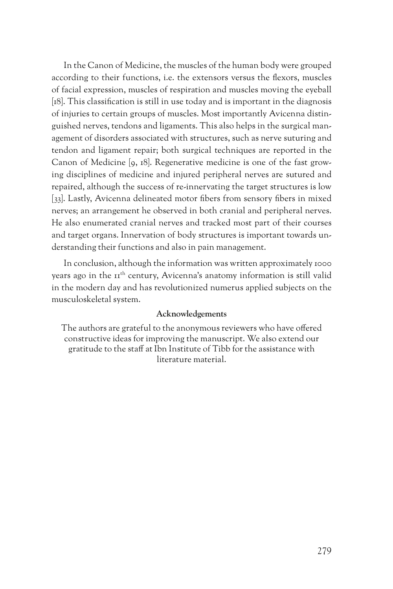In the Canon of Medicine, the muscles of the human body were grouped according to their functions, i.e. the extensors versus the flexors, muscles of facial expression, muscles of respiration and muscles moving the eyeball [18]. This classification is still in use today and is important in the diagnosis of injuries to certain groups of muscles. Most importantly Avicenna distinguished nerves, tendons and ligaments. This also helps in the surgical management of disorders associated with structures, such as nerve suturing and tendon and ligament repair; both surgical techniques are reported in the Canon of Medicine [9, 18]. Regenerative medicine is one of the fast growing disciplines of medicine and injured peripheral nerves are sutured and repaired, although the success of re‑innervating the target structures is low [33]. Lastly, Avicenna delineated motor fibers from sensory fibers in mixed nerves; an arrangement he observed in both cranial and peripheral nerves. He also enumerated cranial nerves and tracked most part of their courses and target organs. Innervation of body structures is important towards understanding their functions and also in pain management.

In conclusion, although the information was written approximately 1000 years ago in the 11<sup>th</sup> century, Avicenna's anatomy information is still valid in the modern day and has revolutionized numerus applied subjects on the musculoskeletal system.

#### **Acknowledgements**

The authors are grateful to the anonymous reviewers who have offered constructive ideas for improving the manuscript. We also extend our gratitude to the staff at Ibn Institute of Tibb for the assistance with literature material.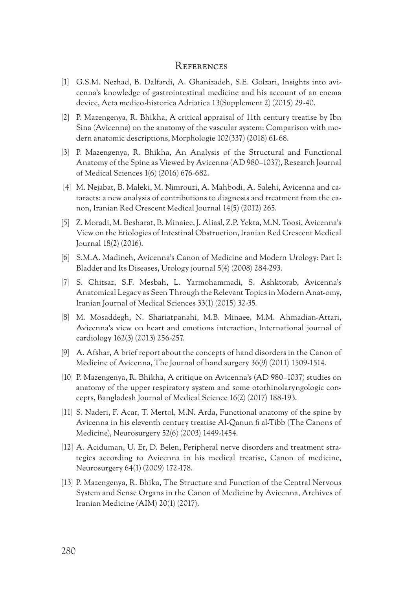## **REFERENCES**

- [1] G.S.M. Nezhad, B. Dalfardi, A. Ghanizadeh, S.E. Golzari, Insights into avicenna's knowledge of gastrointestinal medicine and his account of an enema device, Acta medico‑historica Adriatica 13(Supplement 2) (2015) 29‑40.
- [2] P. Mazengenya, R. Bhikha, A critical appraisal of 11th century treatise by Ibn Sina (Avicenna) on the anatomy of the vascular system: Comparison with modern anatomic descriptions, Morphologie 102(337) (2018) 61-68.
- [3] P. Mazengenya, R. Bhikha, An Analysis of the Structural and Functional Anatomy of the Spine as Viewed by Avicenna (AD 980–1037), Research Journal of Medical Sciences 1(6) (2016) 676‑682.
- [4] M. Nejabat, B. Maleki, M. Nimrouzi, A. Mahbodi, A. Salehi, Avicenna and cataracts: a new analysis of contributions to diagnosis and treatment from the ca‑ non, Iranian Red Crescent Medical Journal 14(5) (2012) 265.
- [5] Z. Moradi, M. Besharat, B. Minaiee, J. Aliasl, Z.P. Yekta, M.N. Toosi, Avicenna's View on the Etiologies of Intestinal Obstruction, Iranian Red Crescent Medical Journal 18(2) (2016).
- [6] S.M.A. Madineh, Avicenna's Canon of Medicine and Modern Urology: Part I: Bladder and Its Diseases, Urology journal 5(4) (2008) 284‑293.
- [7] S. Chitsaz, S.F. Mesbah, L. Yarmohammadi, S. Ashktorab, Avicenna's Anatomical Legacy as Seen Through the Relevant Topics in Modern Anat‑omy, Iranian Journal of Medical Sciences 33(1) (2015) 32‑35.
- [8] M. Mosaddegh, N. Shariatpanahi, M.B. Minaee, M.M. Ahmadian‑Attari, Avicenna's view on heart and emotions interaction, International journal of cardiology 162(3) (2013) 256‑257.
- [9] A. Afshar, A brief report about the concepts of hand disorders in the Canon of Medicine of Avicenna, The Journal of hand surgery 36(9) (2011) 1509-1514.
- [10] P. Mazengenya, R. Bhikha, A critique on Avicenna's (AD 980–1037) studies on anatomy of the upper respiratory system and some otorhinolaryngologic concepts, Bangladesh Journal of Medical Science 16(2) (2017) 188‑193.
- [11] S. Naderi, F. Acar, T. Mertol, M.N. Arda, Functional anatomy of the spine by Avicenna in his eleventh century treatise Al‑Qanun fi al‑Tibb (The Canons of Medicine), Neurosurgery 52(6) (2003) 1449‑1454.
- [12] A. Aciduman, U. Er, D. Belen, Peripheral nerve disorders and treatment stra‑ tegies according to Avicenna in his medical treatise, Canon of medicine, Neurosurgery 64(1) (2009) 172‑178.
- [13] P. Mazengenya, R. Bhika, The Structure and Function of the Central Nervous System and Sense Organs in the Canon of Medicine by Avicenna, Archives of Iranian Medicine (AIM) 20(1) (2017).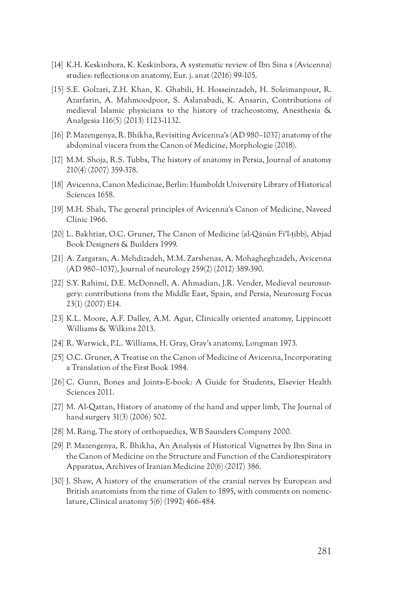- [14] K.H. Keskinbora, K. Keskinbora, A systematic review of Ibn Sina s (Avicenna) studies: reflections on anatomy, Eur. j. anat (2016) 99-105.
- [15] S.E. Golzari, Z.H. Khan, K. Ghabili, H. Hosseinzadeh, H. Soleimanpour, R. Azarfarin, A. Mahmoodpoor, S. Aslanabadi, K. Ansarin, Contributions of medieval Islamic physicians to the history of tracheostomy, Anesthesia & Analgesia 116(5) (2013) 1123‑1132.
- [16] P. Mazengenya, R. Bhikha, Revisiting Avicenna's (AD 980–1037) anatomy of the abdominal viscera from the Canon of Medicine, Morphologie (2018).
- [17] M.M. Shoja, R.S. Tubbs, The history of anatomy in Persia, Journal of anatomy 210(4) (2007) 359‑378.
- [18] Avicenna, Canon Medicinae, Berlin: Humboldt University Library of Historical Sciences 1658.
- [19] M.H. Shah, The general principles of Avicenna's Canon of Medicine, Naveed Clinic 1966.
- [20] L. Bakhtiar, O.C. Gruner, The Canon of Medicine (al‑Qānūn Fī'l‑ṭibb), Abjad Book Designers & Builders 1999.
- [21] A. Zargaran, A. Mehdizadeh, M.M. Zarshenas, A. Mohagheghzadeh, Avicenna (AD 980–1037), Journal of neurology 259(2) (2012) 389‑390.
- [22] S.Y. Rahimi, D.E. McDonnell, A. Ahmadian, J.R. Vender, Medieval neurosurgery: contributions from the Middle East, Spain, and Persia, Neurosurg Focus 23(1) (2007) E14.
- [23] K.L. Moore, A.F. Dalley, A.M. Agur, Clinically oriented anatomy, Lippincott Williams & Wilkins 2013.
- [24] R. Warwick, P.L. Williams, H. Gray, Gray's anatomy, Longman 1973.
- [25] O.C. Gruner, A Treatise on the Canon of Medicine of Avicenna, Incorporating a Translation of the First Book 1984.
- [26] C. Gunn, Bones and Joints-E-book: A Guide for Students, Elsevier Health Sciences 2011.
- [27] M. Al‑Qattan, History of anatomy of the hand and upper limb, The Journal of hand surgery 31(3) (2006) 502.
- [28] M. Rang, The story of orthopaedics, WB Saunders Company 2000.
- [29] P. Mazengenya, R. Bhikha, An Analysis of Historical Vignettes by Ibn Sina in the Canon of Medicine on the Structure and Function of the Cardiorespiratory Apparatus, Archives of Iranian Medicine 20(6) (2017) 386.
- [30] J. Shaw, A history of the enumeration of the cranial nerves by European and British anatomists from the time of Galen to 1895, with comments on nomenc‑ lature, Clinical anatomy 5(6) (1992) 466‑484.